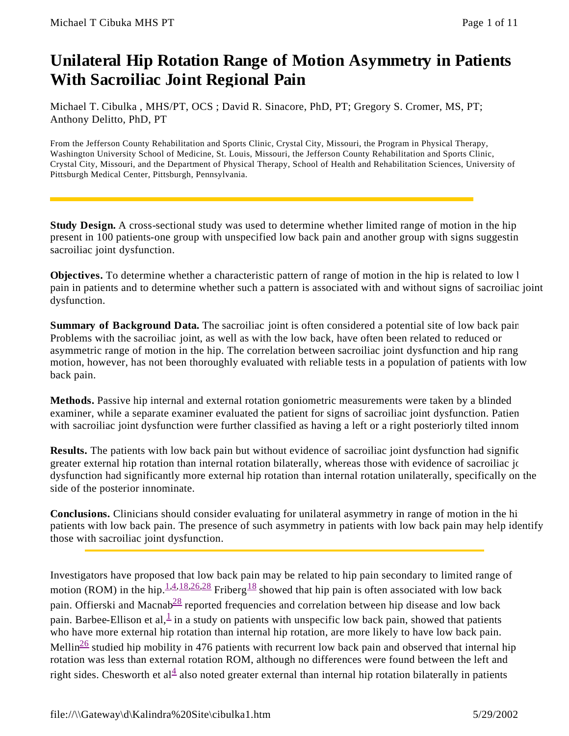# **Unilateral Hip Rotation Range of Motion Asymmetry in Patients With Sacroiliac Joint Regional Pain**

Michael T. Cibulka , MHS/PT, OCS ; David R. Sinacore, PhD, PT; Gregory S. Cromer, MS, PT; Anthony Delitto, PhD, PT

From the Jefferson County Rehabilitation and Sports Clinic, Crystal City, Missouri, the Program in Physical Therapy, Washington University School of Medicine, St. Louis, Missouri, the Jefferson County Rehabilitation and Sports Clinic, Crystal City, Missouri, and the Department of Physical Therapy, School of Health and Rehabilitation Sciences, University of Pittsburgh Medical Center, Pittsburgh, Pennsylvania.

**Study Design.** A cross-sectional study was used to determine whether limited range of motion in the hip present in 100 patients-one group with unspecified low back pain and another group with signs suggesting sacroiliac joint dysfunction.

**Objectives.** To determine whether a characteristic pattern of range of motion in the hip is related to low l pain in patients and to determine whether such a pattern is associated with and without signs of sacroiliac joint dysfunction.

**Summary of Background Data.** The sacroiliac joint is often considered a potential site of low back pain. Problems with the sacroiliac joint, as well as with the low back, have often been related to reduced or asymmetric range of motion in the hip. The correlation between sacroiliac joint dysfunction and hip range of motion, however, has not been thoroughly evaluated with reliable tests in a population of patients with low back pain.

**Methods.** Passive hip internal and external rotation goniometric measurements were taken by a blinded examiner, while a separate examiner evaluated the patient for signs of sacroiliac joint dysfunction. Patient with sacroiliac joint dysfunction were further classified as having a left or a right posteriorly tilted innom

**Results.** The patients with low back pain but without evidence of sacroiliac joint dysfunction had significe greater external hip rotation than internal rotation bilaterally, whereas those with evidence of sacroiliac joint dysfunction had significantly more external hip rotation than internal rotation unilaterally, specifically on the side of the posterior innominate.

**Conclusions.** Clinicians should consider evaluating for unilateral asymmetry in range of motion in the hi patients with low back pain. The presence of such asymmetry in patients with low back pain may help identify those with sacroiliac joint dysfunction.

Investigators have proposed that low back pain may be related to hip pain secondary to limited range of motion (ROM) in the hip.<sup>1,4,18,26,28</sup> Friberg<sup>18</sup> showed that hip pain is often associated with low back pain. Offierski and Macnab<sup>28</sup> reported frequencies and correlation between hip disease and low back pain. Barbee-Ellison et al,  $\frac{1}{n}$  in a study on patients with unspecific low back pain, showed that patients who have more external hip rotation than internal hip rotation, are more likely to have low back pain. Mellin<sup>26</sup> studied hip mobility in 476 patients with recurrent low back pain and observed that internal hip rotation was less than external rotation ROM, although no differences were found between the left and right sides. Chesworth et al $\frac{4}{3}$  also noted greater external than internal hip rotation bilaterally in patients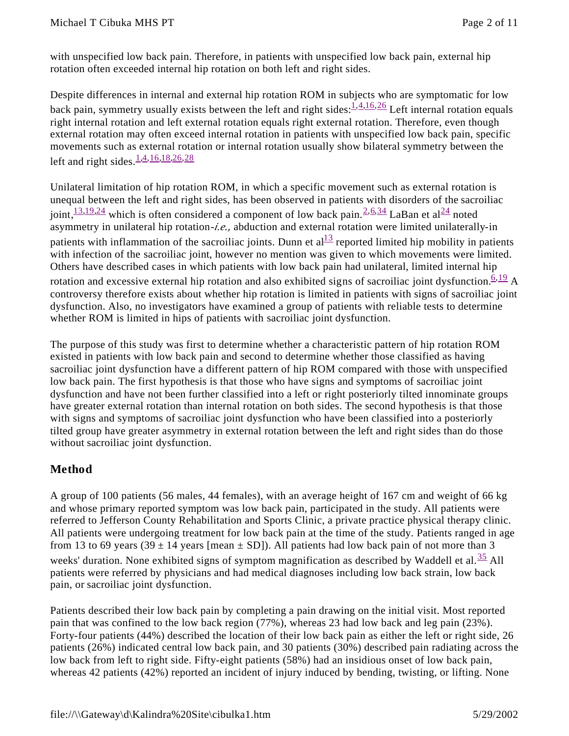with unspecified low back pain. Therefore, in patients with unspecified low back pain, external hip rotation often exceeded internal hip rotation on both left and right sides.

Despite differences in internal and external hip rotation ROM in subjects who are symptomatic for low back pain, symmetry usually exists between the left and right sides:  $\frac{1}{4}$ ,  $\frac{4}{16}$ ,  $\frac{26}{16}$  Left internal rotation equals right internal rotation and left external rotation equals right external rotation. Therefore, even though external rotation may often exceed internal rotation in patients with unspecified low back pain, specific movements such as external rotation or internal rotation usually show bilateral symmetry between the left and right sides  $\frac{1,4,16,18,26,28}{2}$ 

Unilateral limitation of hip rotation ROM, in which a specific movement such as external rotation is unequal between the left and right sides, has been observed in patients with disorders of the sacroiliac joint,  $\frac{13,19,24}{12}$  which is often considered a component of low back pain.  $\frac{2,6,34}{1}$  LaBan et al $\frac{24}{1}$  noted asymmetry in unilateral hip rotation-*i.e.,* abduction and external rotation were limited unilaterally-in patients with inflammation of the sacroiliac joints. Dunn et  $al<sup>13</sup>$  reported limited hip mobility in patients with infection of the sacroiliac joint, however no mention was given to which movements were limited. Others have described cases in which patients with low back pain had unilateral, limited internal hip rotation and excessive external hip rotation and also exhibited signs of sacroiliac joint dysfunction.  $6,19$  A controversy therefore exists about whether hip rotation is limited in patients with signs of sacroiliac joint dysfunction. Also, no investigators have examined a group of patients with reliable tests to determine whether ROM is limited in hips of patients with sacroiliac joint dysfunction.

The purpose of this study was first to determine whether a characteristic pattern of hip rotation ROM existed in patients with low back pain and second to determine whether those classified as having sacroiliac joint dysfunction have a different pattern of hip ROM compared with those with unspecified low back pain. The first hypothesis is that those who have signs and symptoms of sacroiliac joint dysfunction and have not been further classified into a left or right posteriorly tilted innominate groups have greater external rotation than internal rotation on both sides. The second hypothesis is that those with signs and symptoms of sacroiliac joint dysfunction who have been classified into a posteriorly tilted group have greater asymmetry in external rotation between the left and right sides than do those without sacroiliac joint dysfunction.

## **Method**

A group of 100 patients (56 males, 44 females), with an average height of 167 cm and weight of 66 kg and whose primary reported symptom was low back pain, participated in the study. All patients were referred to Jefferson County Rehabilitation and Sports Clinic, a private practice physical therapy clinic. All patients were undergoing treatment for low back pain at the time of the study. Patients ranged in age from 13 to 69 years (39  $\pm$  14 years [mean  $\pm$  SD]). All patients had low back pain of not more than 3 weeks' duration. None exhibited signs of symptom magnification as described by Waddell et al.  $\frac{35}{12}$  All patients were referred by physicians and had medical diagnoses including low back strain, low back pain, or sacroiliac joint dysfunction.

Patients described their low back pain by completing a pain drawing on the initial visit. Most reported pain that was confined to the low back region (77%), whereas 23 had low back and leg pain (23%). Forty-four patients (44%) described the location of their low back pain as either the left or right side, 26 patients (26%) indicated central low back pain, and 30 patients (30%) described pain radiating across the low back from left to right side. Fifty-eight patients (58%) had an insidious onset of low back pain, whereas 42 patients (42%) reported an incident of injury induced by bending, twisting, or lifting. None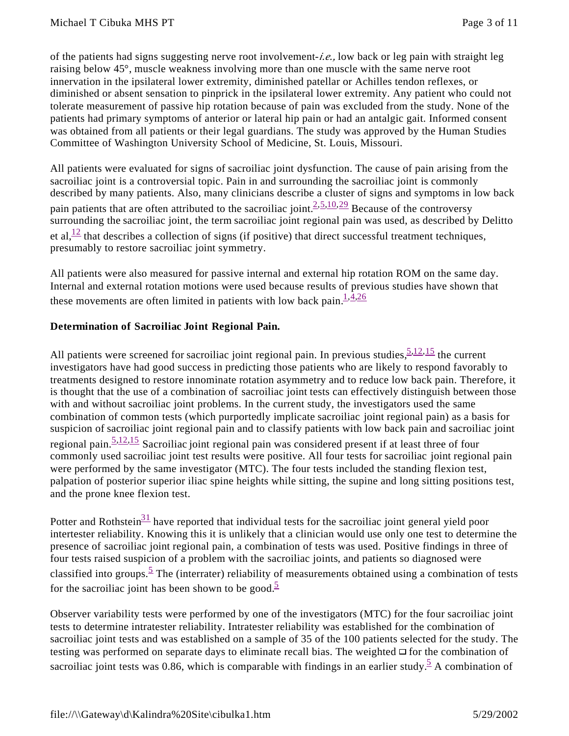of the patients had signs suggesting nerve root involvement-*i.e.,* low back or leg pain with straight leg raising below 45°, muscle weakness involving more than one muscle with the same nerve root innervation in the ipsilateral lower extremity, diminished patellar or Achilles tendon reflexes, or diminished or absent sensation to pinprick in the ipsilateral lower extremity. Any patient who could not tolerate measurement of passive hip rotation because of pain was excluded from the study. None of the patients had primary symptoms of anterior or lateral hip pain or had an antalgic gait. Informed consent was obtained from all patients or their legal guardians. The study was approved by the Human Studies Committee of Washington University School of Medicine, St. Louis, Missouri.

All patients were evaluated for signs of sacroiliac joint dysfunction. The cause of pain arising from the sacroiliac joint is a controversial topic. Pain in and surrounding the sacroiliac joint is commonly described by many patients. Also, many clinicians describe a cluster of signs and symptoms in low back pain patients that are often attributed to the sacroiliac joint.  $\frac{2,5,10,29}{2}$  Because of the controversy surrounding the sacroiliac joint, the term sacroiliac joint regional pain was used, as described by Delitto et al, $\frac{12}{12}$  that describes a collection of signs (if positive) that direct successful treatment techniques, presumably to restore sacroiliac joint symmetry.

All patients were also measured for passive internal and external hip rotation ROM on the same day. Internal and external rotation motions were used because results of previous studies have shown that these movements are often limited in patients with low back pain. $1.4,26$ 

#### **Determination of Sacroiliac Joint Regional Pain.**

All patients were screened for sacroiliac joint regional pain. In previous studies,  $\frac{5,12,15}{1}$  the current investigators have had good success in predicting those patients who are likely to respond favorably to treatments designed to restore innominate rotation asymmetry and to reduce low back pain. Therefore, it is thought that the use of a combination of sacroiliac joint tests can effectively distinguish between those with and without sacroiliac joint problems. In the current study, the investigators used the same combination of common tests (which purportedly implicate sacroiliac joint regional pain) as a basis for suspicion of sacroiliac joint regional pain and to classify patients with low back pain and sacroiliac joint regional pain.  $\frac{5,12,15}{ }$  Sacroiliac joint regional pain was considered present if at least three of four commonly used sacroiliac joint test results were positive. All four tests for sacroiliac joint regional pain were performed by the same investigator (MTC). The four tests included the standing flexion test, palpation of posterior superior iliac spine heights while sitting, the supine and long sitting positions test, and the prone knee flexion test.

Potter and Rothstein<sup>31</sup> have reported that individual tests for the sacroiliac joint general yield poor intertester reliability. Knowing this it is unlikely that a clinician would use only one test to determine the presence of sacroiliac joint regional pain, a combination of tests was used. Positive findings in three of four tests raised suspicion of a problem with the sacroiliac joints, and patients so diagnosed were classified into groups.<sup>5</sup> The (interrater) reliability of measurements obtained using a combination of tests for the sacroiliac joint has been shown to be good.<sup>5</sup>

Observer variability tests were performed by one of the investigators (MTC) for the four sacroiliac joint tests to determine intratester reliability. Intratester reliability was established for the combination of sacroiliac joint tests and was established on a sample of 35 of the 100 patients selected for the study. The testing was performed on separate days to eliminate recall bias. The weighted  $\Box$  for the combination of sacroiliac joint tests was 0.86, which is comparable with findings in an earlier study.  $\frac{5}{5}A$  combination of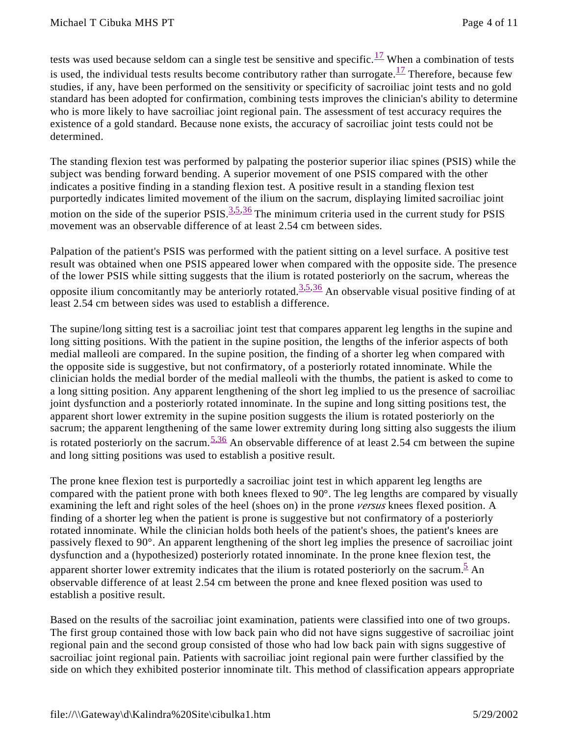tests was used because seldom can a single test be sensitive and specific.<sup>17</sup> When a combination of tests is used, the individual tests results become contributory rather than surrogate.<sup>17</sup> Therefore, because few studies, if any, have been performed on the sensitivity or specificity of sacroiliac joint tests and no gold standard has been adopted for confirmation, combining tests improves the clinician's ability to determine who is more likely to have sacroiliac joint regional pain. The assessment of test accuracy requires the existence of a gold standard. Because none exists, the accuracy of sacroiliac joint tests could not be determined.

The standing flexion test was performed by palpating the posterior superior iliac spines (PSIS) while the subject was bending forward bending. A superior movement of one PSIS compared with the other indicates a positive finding in a standing flexion test. A positive result in a standing flexion test purportedly indicates limited movement of the ilium on the sacrum, displaying limited sacroiliac joint motion on the side of the superior  $PSIS$ .  $\frac{3,5,36}{2}$  The minimum criteria used in the current study for PSIS movement was an observable difference of at least 2.54 cm between sides.

Palpation of the patient's PSIS was performed with the patient sitting on a level surface. A positive test result was obtained when one PSIS appeared lower when compared with the opposite side. The presence of the lower PSIS while sitting suggests that the ilium is rotated posteriorly on the sacrum, whereas the opposite ilium concomitantly may be anteriorly rotated.  $\frac{3,5,36}{2}$  An observable visual positive finding of at least 2.54 cm between sides was used to establish a difference.

The supine/long sitting test is a sacroiliac joint test that compares apparent leg lengths in the supine and long sitting positions. With the patient in the supine position, the lengths of the inferior aspects of both medial malleoli are compared. In the supine position, the finding of a shorter leg when compared with the opposite side is suggestive, but not confirmatory, of a posteriorly rotated innominate. While the clinician holds the medial border of the medial malleoli with the thumbs, the patient is asked to come to a long sitting position. Any apparent lengthening of the short leg implied to us the presence of sacroiliac joint dysfunction and a posteriorly rotated innominate. In the supine and long sitting positions test, the apparent short lower extremity in the supine position suggests the ilium is rotated posteriorly on the sacrum; the apparent lengthening of the same lower extremity during long sitting also suggests the ilium is rotated posteriorly on the sacrum.  $\frac{5,36}{5}$  An observable difference of at least 2.54 cm between the supine and long sitting positions was used to establish a positive result.

The prone knee flexion test is purportedly a sacroiliac joint test in which apparent leg lengths are compared with the patient prone with both knees flexed to  $90^{\circ}$ . The leg lengths are compared by visually examining the left and right soles of the heel (shoes on) in the prone *versus* knees flexed position. A finding of a shorter leg when the patient is prone is suggestive but not confirmatory of a posteriorly rotated innominate. While the clinician holds both heels of the patient's shoes, the patient's knees are passively flexed to 90°. An apparent lengthening of the short leg implies the presence of sacroiliac joint dysfunction and a (hypothesized) posteriorly rotated innominate. In the prone knee flexion test, the apparent shorter lower extremity indicates that the ilium is rotated posteriorly on the sacrum.<sup>5</sup> An observable difference of at least 2.54 cm between the prone and knee flexed position was used to establish a positive result.

Based on the results of the sacroiliac joint examination, patients were classified into one of two groups. The first group contained those with low back pain who did not have signs suggestive of sacroiliac joint regional pain and the second group consisted of those who had low back pain with signs suggestive of sacroiliac joint regional pain. Patients with sacroiliac joint regional pain were further classified by the side on which they exhibited posterior innominate tilt. This method of classification appears appropriate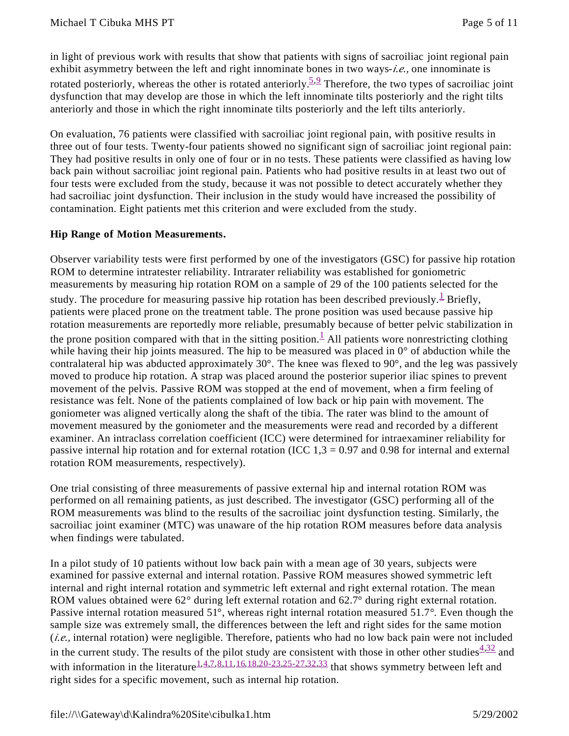in light of previous work with results that show that patients with signs of sacroiliac joint regional pain exhibit asymmetry between the left and right innominate bones in two ways-*i.e.,* one innominate is rotated posteriorly, whereas the other is rotated anteriorly.  $5.9$  Therefore, the two types of sacroiliac joint dysfunction that may develop are those in which the left innominate tilts posteriorly and the right tilts anteriorly and those in which the right innominate tilts posteriorly and the left tilts anteriorly.

On evaluation, 76 patients were classified with sacroiliac joint regional pain, with positive results in three out of four tests. Twenty-four patients showed no significant sign of sacroiliac joint regional pain: They had positive results in only one of four or in no tests. These patients were classified as having low back pain without sacroiliac joint regional pain. Patients who had positive results in at least two out of four tests were excluded from the study, because it was not possible to detect accurately whether they had sacroiliac joint dysfunction. Their inclusion in the study would have increased the possibility of contamination. Eight patients met this criterion and were excluded from the study.

#### **Hip Range of Motion Measurements.**

Observer variability tests were first performed by one of the investigators (GSC) for passive hip rotation ROM to determine intratester reliability. Intrarater reliability was established for goniometric measurements by measuring hip rotation ROM on a sample of 29 of the 100 patients selected for the study. The procedure for measuring passive hip rotation has been described previously.  $\frac{1}{x}$  Briefly, patients were placed prone on the treatment table. The prone position was used because passive hip rotation measurements are reportedly more reliable, presumably because of better pelvic stabilization in the prone position compared with that in the sitting position.<sup>1</sup> All patients wore nonrestricting clothing while having their hip joints measured. The hip to be measured was placed in 0° of abduction while the contralateral hip was abducted approximately  $30^{\circ}$ . The knee was flexed to  $90^{\circ}$ , and the leg was passively moved to produce hip rotation. A strap was placed around the posterior superior iliac spines to prevent movement of the pelvis. Passive ROM was stopped at the end of movement, when a firm feeling of resistance was felt. None of the patients complained of low back or hip pain with movement. The goniometer was aligned vertically along the shaft of the tibia. The rater was blind to the amount of movement measured by the goniometer and the measurements were read and recorded by a different examiner. An intraclass correlation coefficient (ICC) were determined for intraexaminer reliability for passive internal hip rotation and for external rotation (ICC  $1,3 = 0.97$  and 0.98 for internal and external rotation ROM measurements, respectively).

One trial consisting of three measurements of passive external hip and internal rotation ROM was performed on all remaining patients, as just described. The investigator (GSC) performing all of the ROM measurements was blind to the results of the sacroiliac joint dysfunction testing. Similarly, the sacroiliac joint examiner (MTC) was unaware of the hip rotation ROM measures before data analysis when findings were tabulated.

In a pilot study of 10 patients without low back pain with a mean age of 30 years, subjects were examined for passive external and internal rotation. Passive ROM measures showed symmetric left internal and right internal rotation and symmetric left external and right external rotation. The mean ROM values obtained were 62° during left external rotation and 62.7° during right external rotation. Passive internal rotation measured 51°, whereas right internal rotation measured 51.7°. Even though the sample size was extremely small, the differences between the left and right sides for the same motion (*i.e.,* internal rotation) were negligible. Therefore, patients who had no low back pain were not included in the current study. The results of the pilot study are consistent with those in other other studies $\frac{4,32}{ }$  and with information in the literature<sup>1,4,7,8,11,16,18,20-23,25-27,32,33</sup> that shows symmetry between left and right sides for a specific movement, such as internal hip rotation.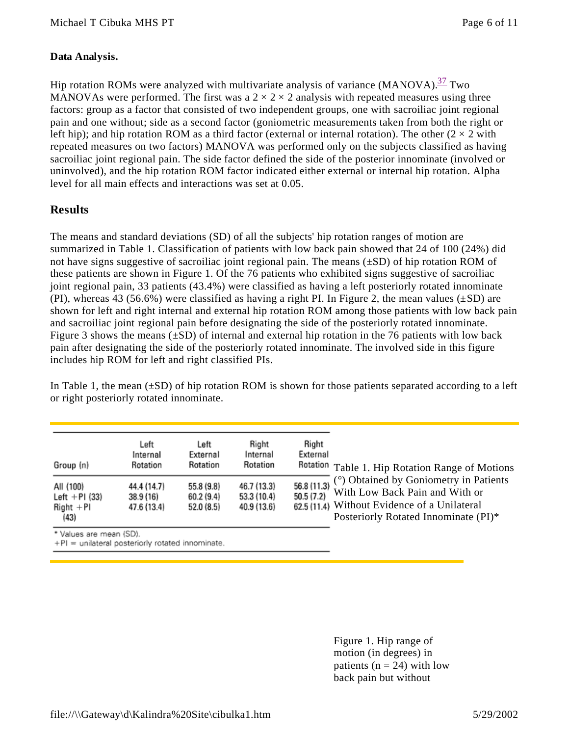#### **Data Analysis.**

Hip rotation ROMs were analyzed with multivariate analysis of variance  $(MANOVA).$ <sup>37</sup> Two MANOVAs were performed. The first was a  $2 \times 2 \times 2$  analysis with repeated measures using three factors: group as a factor that consisted of two independent groups, one with sacroiliac joint regional pain and one without; side as a second factor (goniometric measurements taken from both the right or left hip); and hip rotation ROM as a third factor (external or internal rotation). The other  $(2 \times 2 \text{ with})$ repeated measures on two factors) MANOVA was performed only on the subjects classified as having sacroiliac joint regional pain. The side factor defined the side of the posterior innominate (involved or uninvolved), and the hip rotation ROM factor indicated either external or internal hip rotation. Alpha level for all main effects and interactions was set at 0.05.

## **Results**

The means and standard deviations (SD) of all the subjects' hip rotation ranges of motion are summarized in Table 1. Classification of patients with low back pain showed that 24 of 100 (24%) did not have signs suggestive of sacroiliac joint regional pain. The means  $(\pm SD)$  of hip rotation ROM of these patients are shown in Figure 1. Of the 76 patients who exhibited signs suggestive of sacroiliac joint regional pain, 33 patients (43.4%) were classified as having a left posteriorly rotated innominate (PI), whereas 43 (56.6%) were classified as having a right PI. In Figure 2, the mean values  $(\pm SD)$  are shown for left and right internal and external hip rotation ROM among those patients with low back pain and sacroiliac joint regional pain before designating the side of the posteriorly rotated innominate. Figure 3 shows the means (±SD) of internal and external hip rotation in the 76 patients with low back pain after designating the side of the posteriorly rotated innominate. The involved side in this figure includes hip ROM for left and right classified PIs.

In Table 1, the mean  $(\pm SD)$  of hip rotation ROM is shown for those patients separated according to a left or right posteriorly rotated innominate.

| Group (n)                                             | Left<br>Internal<br>Rotation            | Left<br>External<br>Rotation           | Right<br>Internal<br>Rotation             | Right<br>External         | Rotation Table 1. Hip Rotation Range of Motions                                                                                                                  |
|-------------------------------------------------------|-----------------------------------------|----------------------------------------|-------------------------------------------|---------------------------|------------------------------------------------------------------------------------------------------------------------------------------------------------------|
| All (100)<br>Left $+$ PI (33)<br>$Right + PI$<br>(43) | 44.4 (14.7)<br>38.9 (16)<br>47.6 (13.4) | 55.8 (9.8)<br>60.2 (9.4)<br>52.0 (8.5) | 46.7 (13.3)<br>53.3 (10.4)<br>40.9 (13.6) | 56.8 (11.3)<br>50.5 (7.2) | (°) Obtained by Goniometry in Patients<br>With Low Back Pain and With or<br>62.5 (11.4) Without Evidence of a Unilateral<br>Posteriorly Rotated Innominate (PI)* |

Values are mean (SD).

+PI = unilateral posteriorly rotated innominate.

Figure 1. Hip range of motion (in degrees) in patients ( $n = 24$ ) with low back pain but without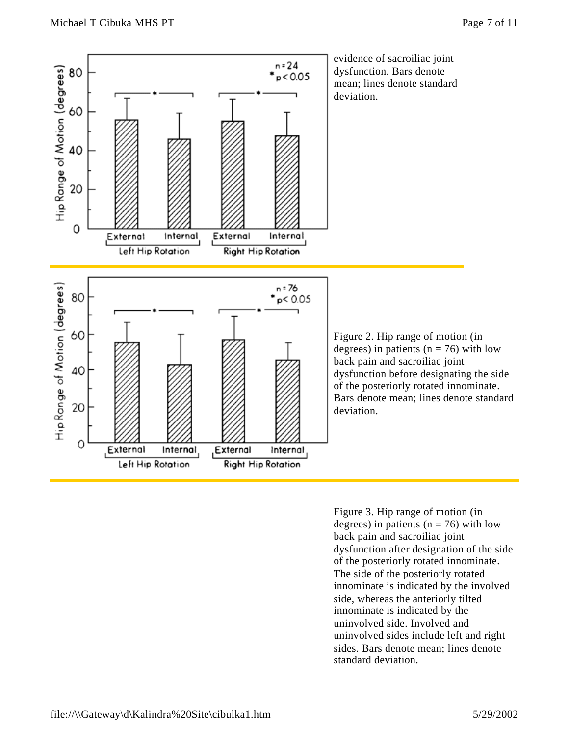

Figure 3. Hip range of motion (in degrees) in patients ( $n = 76$ ) with low back pain and sacroiliac joint dysfunction after designation of the side of the posteriorly rotated innominate. The side of the posteriorly rotated innominate is indicated by the involved side, whereas the anteriorly tilted innominate is indicated by the uninvolved side. Involved and uninvolved sides include left and right sides. Bars denote mean; lines denote standard deviation.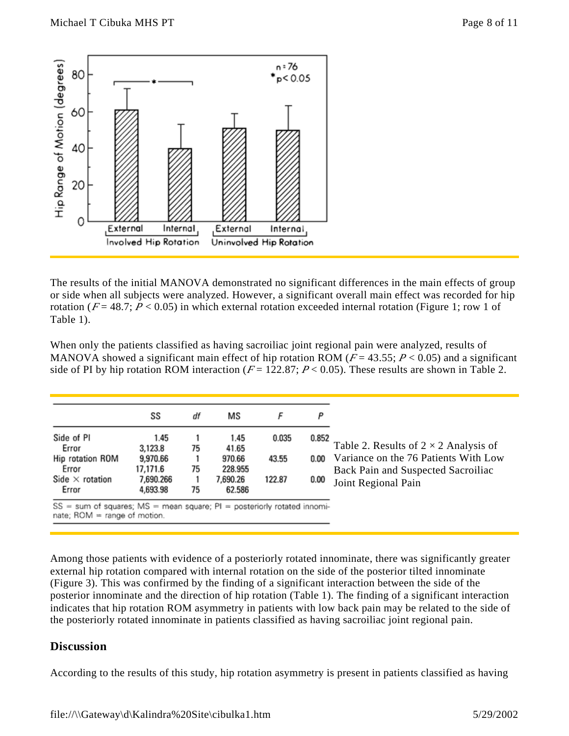

The results of the initial MANOVA demonstrated no significant differences in the main effects of group or side when all subjects were analyzed. However, a significant overall main effect was recorded for hip rotation ( $F = 48.7$ ;  $P < 0.05$ ) in which external rotation exceeded internal rotation (Figure 1; row 1 of Table 1).

When only the patients classified as having sacroiliac joint regional pain were analyzed, results of MANOVA showed a significant main effect of hip rotation ROM ( $F = 43.55$ ;  $P < 0.05$ ) and a significant side of PI by hip rotation ROM interaction ( $F = 122.87$ ;  $P < 0.05$ ). These results are shown in Table 2.

| Side of PI<br>1.45<br>1.45<br>0.035<br>0.852<br>Error<br>3,123.8<br>75<br>41.65<br>Hip rotation ROM<br>9,970.66<br>970.66<br>43.55 |
|------------------------------------------------------------------------------------------------------------------------------------|
| Variance on the 76 Patients With Low<br>0.00                                                                                       |
|                                                                                                                                    |
| 75<br>228.955<br>Error<br>17,171.6<br>Side $\times$ rotation<br>7,690.266<br>7,690.26<br>122.87<br>0.00                            |
| 75<br>4,693.98<br>62.586<br>Error<br>$SS = sum of squares; MS = mean square; PI = posteriorly rotated innomi-$                     |

Among those patients with evidence of a posteriorly rotated innominate, there was significantly greater external hip rotation compared with internal rotation on the side of the posterior tilted innominate (Figure 3). This was confirmed by the finding of a significant interaction between the side of the posterior innominate and the direction of hip rotation (Table 1). The finding of a significant interaction indicates that hip rotation ROM asymmetry in patients with low back pain may be related to the side of the posteriorly rotated innominate in patients classified as having sacroiliac joint regional pain.

#### **Discussion**

According to the results of this study, hip rotation asymmetry is present in patients classified as having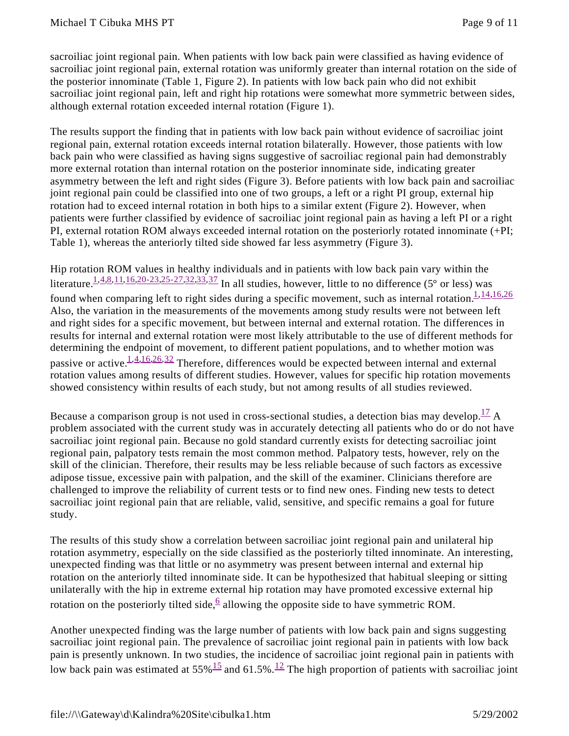sacroiliac joint regional pain. When patients with low back pain were classified as having evidence of sacroiliac joint regional pain, external rotation was uniformly greater than internal rotation on the side of the posterior innominate (Table 1, Figure 2). In patients with low back pain who did not exhibit sacroiliac joint regional pain, left and right hip rotations were somewhat more symmetric between sides, although external rotation exceeded internal rotation (Figure 1).

The results support the finding that in patients with low back pain without evidence of sacroiliac joint regional pain, external rotation exceeds internal rotation bilaterally. However, those patients with low back pain who were classified as having signs suggestive of sacroiliac regional pain had demonstrably more external rotation than internal rotation on the posterior innominate side, indicating greater asymmetry between the left and right sides (Figure 3). Before patients with low back pain and sacroiliac joint regional pain could be classified into one of two groups, a left or a right PI group, external hip rotation had to exceed internal rotation in both hips to a similar extent (Figure 2). However, when patients were further classified by evidence of sacroiliac joint regional pain as having a left PI or a right PI, external rotation ROM always exceeded internal rotation on the posteriorly rotated innominate (+PI; Table 1), whereas the anteriorly tilted side showed far less asymmetry (Figure 3).

Hip rotation ROM values in healthy individuals and in patients with low back pain vary within the literature.<sup>1,4,8,11,16,20-23,25-27,32,33,37</sup> In all studies, however, little to no difference (5° or less) was found when comparing left to right sides during a specific movement, such as internal rotation. $\frac{1,14,16,26}{1,14,16}$ Also, the variation in the measurements of the movements among study results were not between left and right sides for a specific movement, but between internal and external rotation. The differences in results for internal and external rotation were most likely attributable to the use of different methods for determining the endpoint of movement, to different patient populations, and to whether motion was passive or active.<sup>1,4,16,26,32</sup> Therefore, differences would be expected between internal and external rotation values among results of different studies. However, values for specific hip rotation movements showed consistency within results of each study, but not among results of all studies reviewed.

Because a comparison group is not used in cross-sectional studies, a detection bias may develop.  $\frac{17}{14}$  A problem associated with the current study was in accurately detecting all patients who do or do not have sacroiliac joint regional pain. Because no gold standard currently exists for detecting sacroiliac joint regional pain, palpatory tests remain the most common method. Palpatory tests, however, rely on the skill of the clinician. Therefore, their results may be less reliable because of such factors as excessive adipose tissue, excessive pain with palpation, and the skill of the examiner. Clinicians therefore are challenged to improve the reliability of current tests or to find new ones. Finding new tests to detect sacroiliac joint regional pain that are reliable, valid, sensitive, and specific remains a goal for future study.

The results of this study show a correlation between sacroiliac joint regional pain and unilateral hip rotation asymmetry, especially on the side classified as the posteriorly tilted innominate. An interesting, unexpected finding was that little or no asymmetry was present between internal and external hip rotation on the anteriorly tilted innominate side. It can be hypothesized that habitual sleeping or sitting unilaterally with the hip in extreme external hip rotation may have promoted excessive external hip rotation on the posteriorly tilted side,  $6$  allowing the opposite side to have symmetric ROM.

Another unexpected finding was the large number of patients with low back pain and signs suggesting sacroiliac joint regional pain. The prevalence of sacroiliac joint regional pain in patients with low back pain is presently unknown. In two studies, the incidence of sacroiliac joint regional pain in patients with low back pain was estimated at  $55\%$ <sup>15</sup> and  $61.5\%$ .<sup>12</sup> The high proportion of patients with sacroiliac joint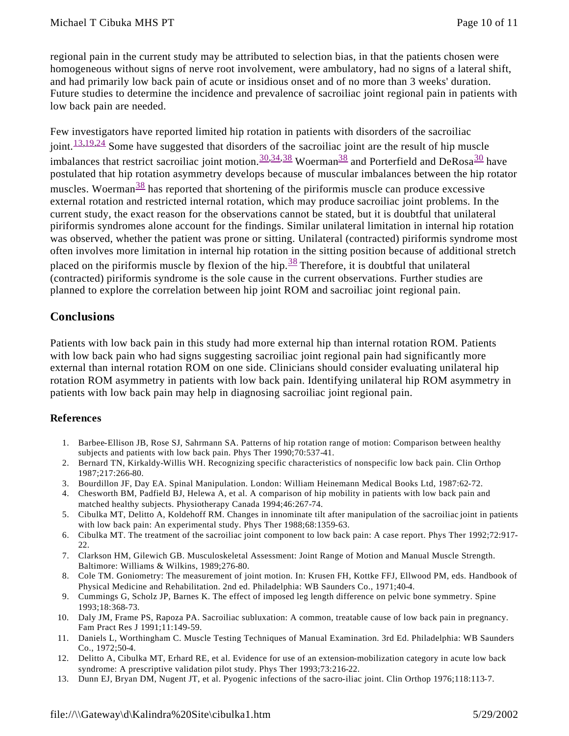regional pain in the current study may be attributed to selection bias, in that the patients chosen were homogeneous without signs of nerve root involvement, were ambulatory, had no signs of a lateral shift, and had primarily low back pain of acute or insidious onset and of no more than 3 weeks' duration. Future studies to determine the incidence and prevalence of sacroiliac joint regional pain in patients with low back pain are needed.

Few investigators have reported limited hip rotation in patients with disorders of the sacroiliac  $joint. <sup>13,19,24</sup>$  Some have suggested that disorders of the sacroiliac joint are the result of hip muscle imbalances that restrict sacroiliac joint motion.  $\frac{30,34,38}{2}$  Woerman<sup>38</sup> and Porterfield and DeRosa<sup>30</sup> have postulated that hip rotation asymmetry develops because of muscular imbalances between the hip rotator muscles. Woerman<sup>38</sup> has reported that shortening of the piriformis muscle can produce excessive external rotation and restricted internal rotation, which may produce sacroiliac joint problems. In the current study, the exact reason for the observations cannot be stated, but it is doubtful that unilateral piriformis syndromes alone account for the findings. Similar unilateral limitation in internal hip rotation was observed, whether the patient was prone or sitting. Unilateral (contracted) piriformis syndrome most often involves more limitation in internal hip rotation in the sitting position because of additional stretch placed on the piriformis muscle by flexion of the hip. $\frac{38}{3}$  Therefore, it is doubtful that unilateral (contracted) piriformis syndrome is the sole cause in the current observations. Further studies are planned to explore the correlation between hip joint ROM and sacroiliac joint regional pain.

## **Conclusions**

Patients with low back pain in this study had more external hip than internal rotation ROM. Patients with low back pain who had signs suggesting sacroiliac joint regional pain had significantly more external than internal rotation ROM on one side. Clinicians should consider evaluating unilateral hip rotation ROM asymmetry in patients with low back pain. Identifying unilateral hip ROM asymmetry in patients with low back pain may help in diagnosing sacroiliac joint regional pain.

#### **References**

- 1. Barbee-Ellison JB, Rose SJ, Sahrmann SA. Patterns of hip rotation range of motion: Comparison between healthy subjects and patients with low back pain. Phys Ther 1990;70:537-41.
- 2. Bernard TN, Kirkaldy-Willis WH. Recognizing specific characteristics of nonspecific low back pain. Clin Orthop 1987;217:266-80.
- 3. Bourdillon JF, Day EA. Spinal Manipulation. London: William Heinemann Medical Books Ltd, 1987:62-72.
- 4. Chesworth BM, Padfield BJ, Helewa A, et al. A comparison of hip mobility in patients with low back pain and matched healthy subjects. Physiotherapy Canada 1994;46:267-74.
- 5. Cibulka MT, Delitto A, Koldehoff RM. Changes in innominate tilt after manipulation of the sacroiliac joint in patients with low back pain: An experimental study. Phys Ther 1988;68:1359-63.
- 6. Cibulka MT. The treatment of the sacroiliac joint component to low back pain: A case report. Phys Ther 1992;72:917- 22.
- 7. Clarkson HM, Gilewich GB. Musculoskeletal Assessment: Joint Range of Motion and Manual Muscle Strength. Baltimore: Williams & Wilkins, 1989;276-80.
- 8. Cole TM. Goniometry: The measurement of joint motion. In: Krusen FH, Kottke FFJ, Ellwood PM, eds. Handbook of Physical Medicine and Rehabilitation. 2nd ed. Philadelphia: WB Saunders Co., 1971;40-4.
- 9. Cummings G, Scholz JP, Barnes K. The effect of imposed leg length difference on pelvic bone symmetry. Spine 1993;18:368-73.
- 10. Daly JM, Frame PS, Rapoza PA. Sacroiliac subluxation: A common, treatable cause of low back pain in pregnancy. Fam Pract Res J 1991;11:149-59.
- 11. Daniels L, Worthingham C. Muscle Testing Techniques of Manual Examination. 3rd Ed. Philadelphia: WB Saunders Co., 1972;50-4.
- 12. Delitto A, Cibulka MT, Erhard RE, et al. Evidence for use of an extension-mobilization category in acute low back syndrome: A prescriptive validation pilot study. Phys Ther 1993;73:216-22.
- 13. Dunn EJ, Bryan DM, Nugent JT, et al. Pyogenic infections of the sacro-iliac joint. Clin Orthop 1976;118:113-7.